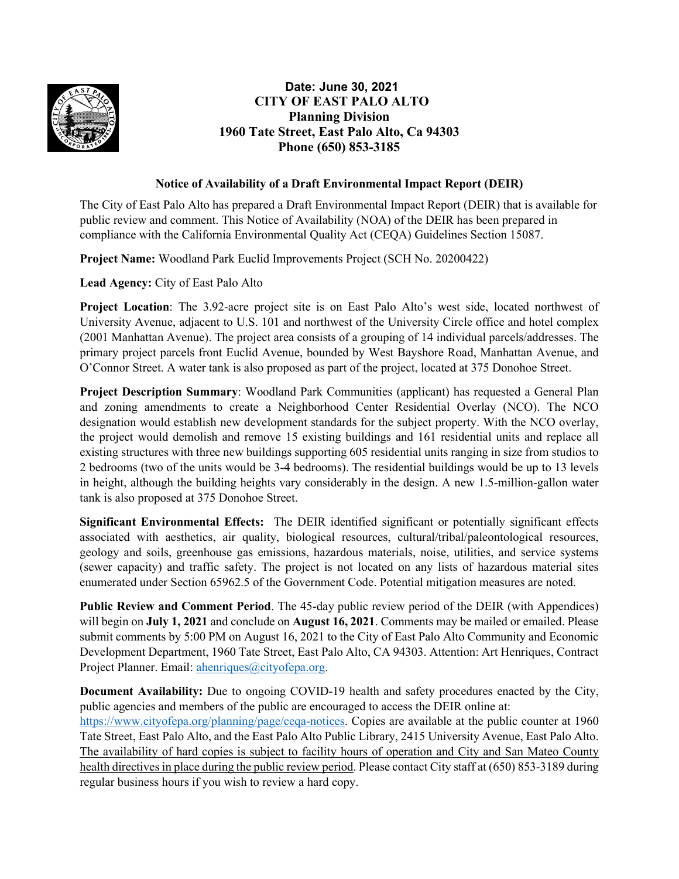

## **Date: June 30, 2021 CITY OF EAST PALO ALTO Planning Division 1960 Tate Street, East Palo Alto, Ca 94303 Phone (650) 853-3185**

## **Notice of Availability of a Draft Environmental Impact Report (DEIR)**

The City of East Palo Alto has prepared a Draft Environmental Impact Report (DEIR) that is available for public review and comment. This Notice of Availability (NOA) of the DEIR has been prepared in compliance with the California Environmental Quality Act (CEQA) Guidelines Section 15087. 

**Project Name:** Woodland Park Euclid Improvements Project (SCH No. 20200422)

**Lead Agency:** City of East Palo Alto

**Project Location**: The 3.92-acre project site is on East Palo Alto's west side, located northwest of University Avenue, adjacent to U.S. 101 and northwest of the University Circle office and hotel complex (2001 Manhattan Avenue). The project area consists of a grouping of 14 individual parcels/addresses. The primary project parcels front Euclid Avenue, bounded by West Bayshore Road, Manhattan Avenue, and O'Connor Street. A water tank is also proposed as part of the project, located at 375 Donohoe Street.

**Project Description Summary**: Woodland Park Communities (applicant) has requested a General Plan and zoning amendments to create a Neighborhood Center Residential Overlay (NCO). The NCO designation would establish new development standards for the subject property. With the NCO overlay, the project would demolish and remove 15 existing buildings and 161 residential units and replace all existing structures with three new buildings supporting 605 residential units ranging in size from studios to 2 bedrooms (two of the units would be 3-4 bedrooms). The residential buildings would be up to 13 levels in height, although the building heights vary considerably in the design. A new 1.5-million-gallon water tank is also proposed at 375 Donohoe Street.

**Significant Environmental Effects:** The DEIR identified significant or potentially significant effects associated with aesthetics, air quality, biological resources, cultural/tribal/paleontological resources, geology and soils, greenhouse gas emissions, hazardous materials, noise, utilities, and service systems (sewer capacity) and traffic safety. The project is not located on any lists of hazardous material sites enumerated under Section 65962.5 of the Government Code. Potential mitigation measures are noted.

**Public Review and Comment Period**. The 45-day public review period of the DEIR (with Appendices) will begin on **July 1, 2021** and conclude on **August 16, 2021**. Comments may be mailed or emailed. Please submit comments by 5:00 PM on August 16, 2021 to the City of East Palo Alto Community and Economic Development Department, 1960 Tate Street, East Palo Alto, CA 94303. Attention: Art Henriques, Contract Project Planner. Email: [ahenriques@cityofepa.org.](mailto:ahenriques@cityofepa.org)

**Document Availability:** Due to ongoing COVID-19 health and safety procedures enacted by the City, public agencies and members of the public are encouraged to access the DEIR online at:

[https://www.cityofepa.org/planning/page/ceqa-notices.](https://www.cityofepa.org/planning/page/ceqa-notices) Copies are available at the public counter at 1960 Tate Street, East Palo Alto, and the East Palo Alto Public Library, 2415 University Avenue, East Palo Alto. The availability of hard copies is subject to facility hours of operation and City and San Mateo County health directives in place during the public review period. Please contact City staff at (650) 853-3189 during regular business hours if you wish to review a hard copy.